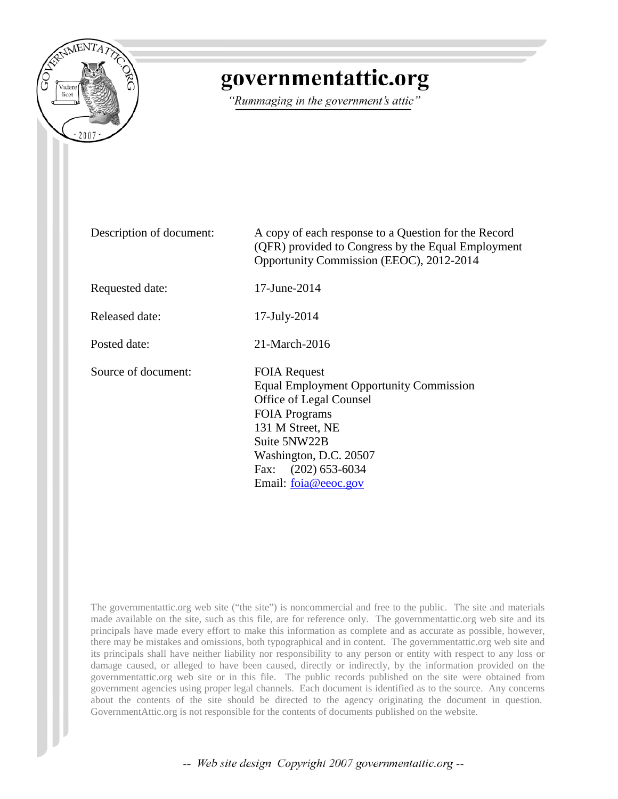

# governmentattic.org

"Rummaging in the government's attic"

Description of document: A copy of each response to a Question for the Record (QFR) provided to Congress by the Equal Employment Opportunity Commission (EEOC), 2012-2014 Requested date: 17-June-2014 Released date: 17-July-2014 Posted date: 21-March-2016 Source of document: FOIA Request Equal Employment Opportunity Commission Office of Legal Counsel FOIA Programs 131 M Street, NE Suite 5NW22B Washington, D.C. 20507 Fax: (202) 653-6034 Email: [foia@eeoc.gov](mailto:foia@eeoc.gov?subject=FOIA%20Request)

The governmentattic.org web site ("the site") is noncommercial and free to the public. The site and materials made available on the site, such as this file, are for reference only. The governmentattic.org web site and its principals have made every effort to make this information as complete and as accurate as possible, however, there may be mistakes and omissions, both typographical and in content. The governmentattic.org web site and its principals shall have neither liability nor responsibility to any person or entity with respect to any loss or damage caused, or alleged to have been caused, directly or indirectly, by the information provided on the governmentattic.org web site or in this file. The public records published on the site were obtained from government agencies using proper legal channels. Each document is identified as to the source. Any concerns about the contents of the site should be directed to the agency originating the document in question. GovernmentAttic.org is not responsible for the contents of documents published on the website.

-- Web site design Copyright 2007 governmentattic.org --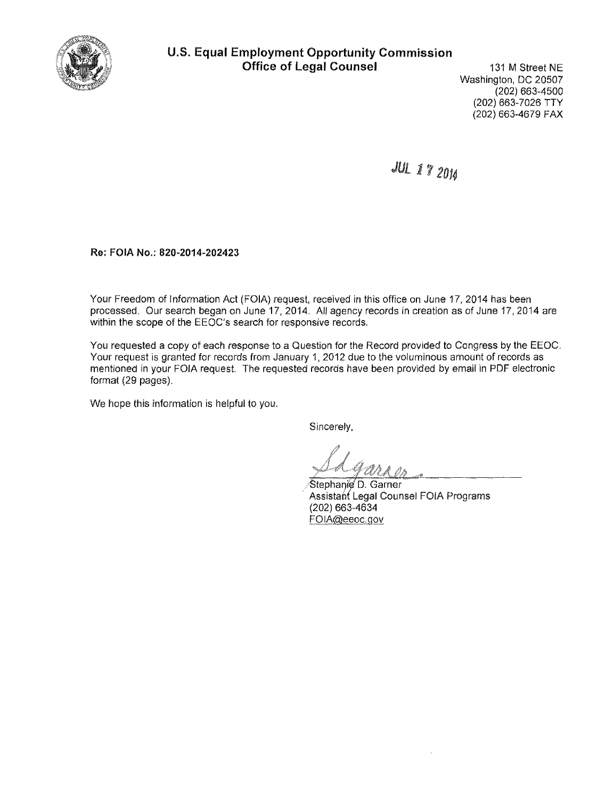

# U.S. Equal Employment Opportunity Commission Office of Legal Counsel

131 M Street NE Washington, DC 20507 (202) 663-4500 (202) 663-7026 TTY (202) 663-4679 FAX

JUL 17 20J4

Re: FOIA No.: 820-2014-202423

Your Freedom of Information Act (FOIA) request, received in this office on June 17, 2014 has been processed. Our search began on June 17, 2014. All agency records in creation as of June 17, 2014 are within the scope of the EEOC's search for responsive records.

You requested a copy of each response to a Question for the Record provided to Congress by the EEOC. Your request is granted for records from January 1, 2012 due to the voluminous amount of records as mentioned in your FOIA request. The requested records have been provided by email in PDF electronic format (29 pages).

We hope this information is helpful to you.

Sincerely,

 $l$   $\sim$ ) in the state of the *in* the state of the *in* in the state of the *in* in the *in* in the *in* in the *in* in the *in* in the *in* in the *in in the in-*

Stephanie D. Garner Assistant Legal Counsel FOIA Programs (202) 663-4634 FOIA@eeoc.gov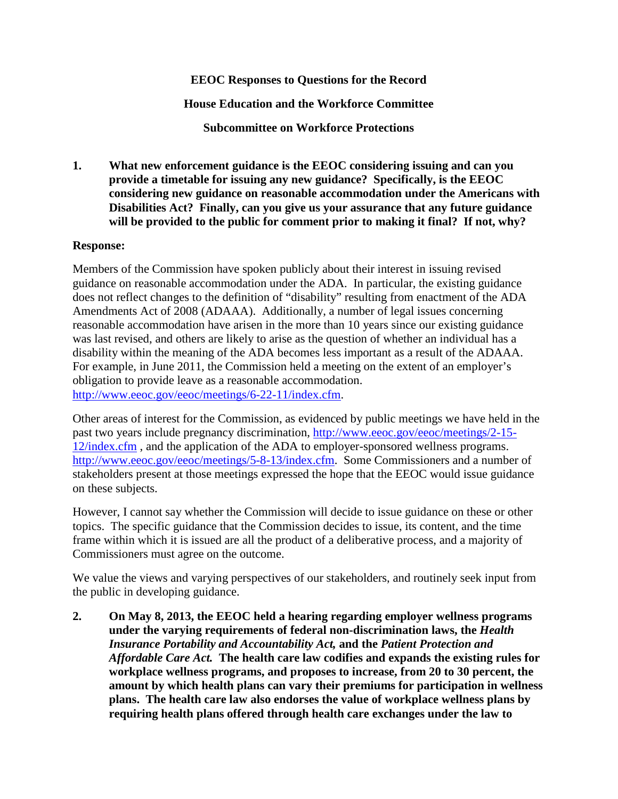## **EEOC Responses to Questions for the Record**

**House Education and the Workforce Committee**

**Subcommittee on Workforce Protections**

**1. What new enforcement guidance is the EEOC considering issuing and can you provide a timetable for issuing any new guidance? Specifically, is the EEOC considering new guidance on reasonable accommodation under the Americans with Disabilities Act? Finally, can you give us your assurance that any future guidance will be provided to the public for comment prior to making it final? If not, why?**

## **Response:**

Members of the Commission have spoken publicly about their interest in issuing revised guidance on reasonable accommodation under the ADA. In particular, the existing guidance does not reflect changes to the definition of "disability" resulting from enactment of the ADA Amendments Act of 2008 (ADAAA). Additionally, a number of legal issues concerning reasonable accommodation have arisen in the more than 10 years since our existing guidance was last revised, and others are likely to arise as the question of whether an individual has a disability within the meaning of the ADA becomes less important as a result of the ADAAA. For example, in June 2011, the Commission held a meeting on the extent of an employer's obligation to provide leave as a reasonable accommodation. [http://www.eeoc.gov/eeoc/meetings/6-22-11/index.cfm.](http://www.eeoc.gov/eeoc/meetings/6-22-11/index.cfm)

Other areas of interest for the Commission, as evidenced by public meetings we have held in the past two years include pregnancy discrimination, [http://www.eeoc.gov/eeoc/meetings/2-15-](http://www.eeoc.gov/eeoc/meetings/2-15-12/index.cfm) [12/index.cfm](http://www.eeoc.gov/eeoc/meetings/2-15-12/index.cfm) , and the application of the ADA to employer-sponsored wellness programs. [http://www.eeoc.gov/eeoc/meetings/5-8-13/index.cfm.](http://www.eeoc.gov/eeoc/meetings/5-8-13/index.cfm) Some Commissioners and a number of stakeholders present at those meetings expressed the hope that the EEOC would issue guidance on these subjects.

However, I cannot say whether the Commission will decide to issue guidance on these or other topics. The specific guidance that the Commission decides to issue, its content, and the time frame within which it is issued are all the product of a deliberative process, and a majority of Commissioners must agree on the outcome.

We value the views and varying perspectives of our stakeholders, and routinely seek input from the public in developing guidance.

**2. On May 8, 2013, the EEOC held a hearing regarding employer wellness programs under the varying requirements of federal non-discrimination laws, the** *Health Insurance Portability and Accountability Act,* **and the** *Patient Protection and Affordable Care Act.* **The health care law codifies and expands the existing rules for workplace wellness programs, and proposes to increase, from 20 to 30 percent, the amount by which health plans can vary their premiums for participation in wellness plans. The health care law also endorses the value of workplace wellness plans by requiring health plans offered through health care exchanges under the law to**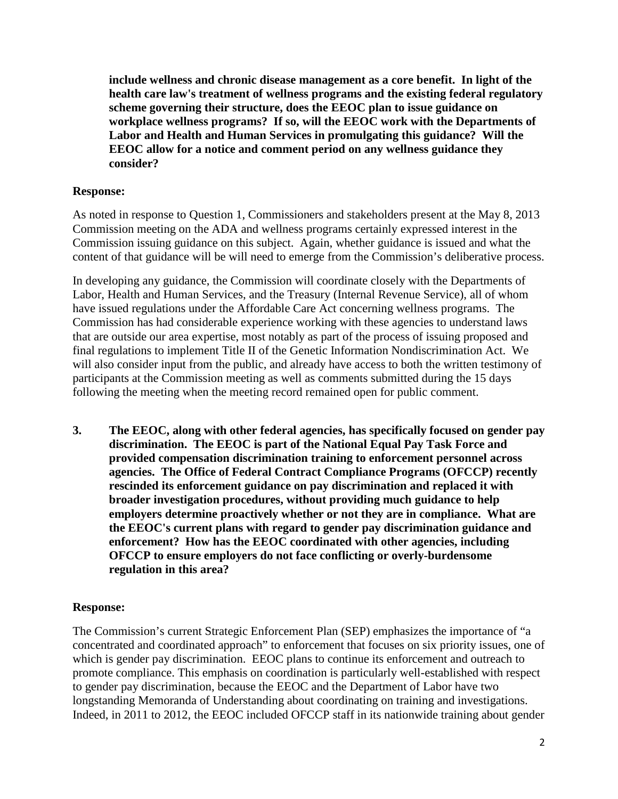**include wellness and chronic disease management as a core benefit. In light of the health care law's treatment of wellness programs and the existing federal regulatory scheme governing their structure, does the EEOC plan to issue guidance on workplace wellness programs? If so, will the EEOC work with the Departments of Labor and Health and Human Services in promulgating this guidance? Will the EEOC allow for a notice and comment period on any wellness guidance they consider?**

#### **Response:**

As noted in response to Question 1, Commissioners and stakeholders present at the May 8, 2013 Commission meeting on the ADA and wellness programs certainly expressed interest in the Commission issuing guidance on this subject. Again, whether guidance is issued and what the content of that guidance will be will need to emerge from the Commission's deliberative process.

In developing any guidance, the Commission will coordinate closely with the Departments of Labor, Health and Human Services, and the Treasury (Internal Revenue Service), all of whom have issued regulations under the Affordable Care Act concerning wellness programs. The Commission has had considerable experience working with these agencies to understand laws that are outside our area expertise, most notably as part of the process of issuing proposed and final regulations to implement Title II of the Genetic Information Nondiscrimination Act. We will also consider input from the public, and already have access to both the written testimony of participants at the Commission meeting as well as comments submitted during the 15 days following the meeting when the meeting record remained open for public comment.

**3. The EEOC, along with other federal agencies, has specifically focused on gender pay discrimination. The EEOC is part of the National Equal Pay Task Force and provided compensation discrimination training to enforcement personnel across agencies. The Office of Federal Contract Compliance Programs (OFCCP) recently rescinded its enforcement guidance on pay discrimination and replaced it with broader investigation procedures, without providing much guidance to help employers determine proactively whether or not they are in compliance. What are the EEOC's current plans with regard to gender pay discrimination guidance and enforcement? How has the EEOC coordinated with other agencies, including OFCCP to ensure employers do not face conflicting or overly-burdensome regulation in this area?**

## **Response:**

The Commission's current Strategic Enforcement Plan (SEP) emphasizes the importance of "a concentrated and coordinated approach" to enforcement that focuses on six priority issues, one of which is gender pay discrimination. EEOC plans to continue its enforcement and outreach to promote compliance. This emphasis on coordination is particularly well-established with respect to gender pay discrimination, because the EEOC and the Department of Labor have two longstanding Memoranda of Understanding about coordinating on training and investigations. Indeed, in 2011 to 2012, the EEOC included OFCCP staff in its nationwide training about gender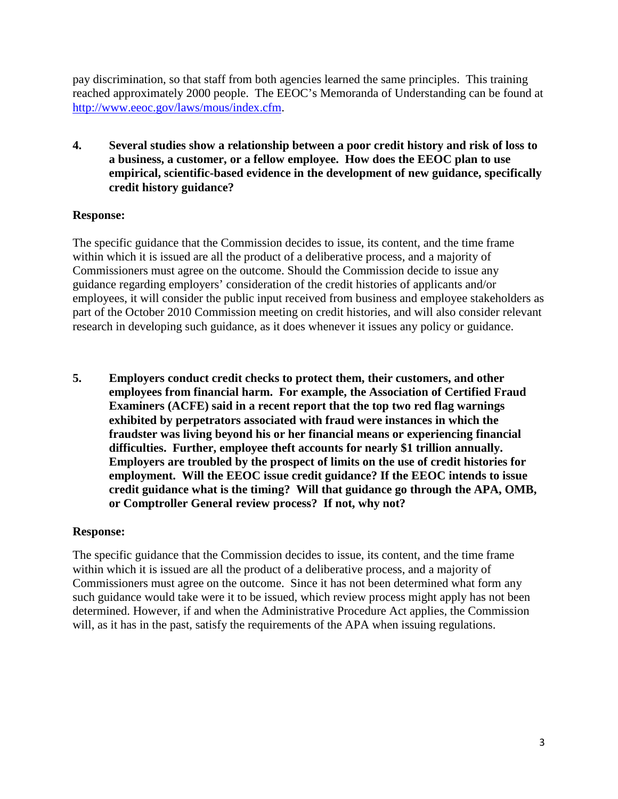pay discrimination, so that staff from both agencies learned the same principles. This training reached approximately 2000 people. The EEOC's Memoranda of Understanding can be found at [http://www.eeoc.gov/laws/mous/index.cfm.](http://www.eeoc.gov/laws/mous/index.cfm)

**4. Several studies show a relationship between a poor credit history and risk of loss to a business, a customer, or a fellow employee. How does the EEOC plan to use empirical, scientific-based evidence in the development of new guidance, specifically credit history guidance?**

## **Response:**

The specific guidance that the Commission decides to issue, its content, and the time frame within which it is issued are all the product of a deliberative process, and a majority of Commissioners must agree on the outcome. Should the Commission decide to issue any guidance regarding employers' consideration of the credit histories of applicants and/or employees, it will consider the public input received from business and employee stakeholders as part of the October 2010 Commission meeting on credit histories, and will also consider relevant research in developing such guidance, as it does whenever it issues any policy or guidance.

**5. Employers conduct credit checks to protect them, their customers, and other employees from financial harm. For example, the Association of Certified Fraud Examiners (ACFE) said in a recent report that the top two red flag warnings exhibited by perpetrators associated with fraud were instances in which the fraudster was living beyond his or her financial means or experiencing financial difficulties. Further, employee theft accounts for nearly \$1 trillion annually. Employers are troubled by the prospect of limits on the use of credit histories for employment. Will the EEOC issue credit guidance? If the EEOC intends to issue credit guidance what is the timing? Will that guidance go through the APA, OMB, or Comptroller General review process? If not, why not?**

## **Response:**

The specific guidance that the Commission decides to issue, its content, and the time frame within which it is issued are all the product of a deliberative process, and a majority of Commissioners must agree on the outcome. Since it has not been determined what form any such guidance would take were it to be issued, which review process might apply has not been determined. However, if and when the Administrative Procedure Act applies, the Commission will, as it has in the past, satisfy the requirements of the APA when issuing regulations.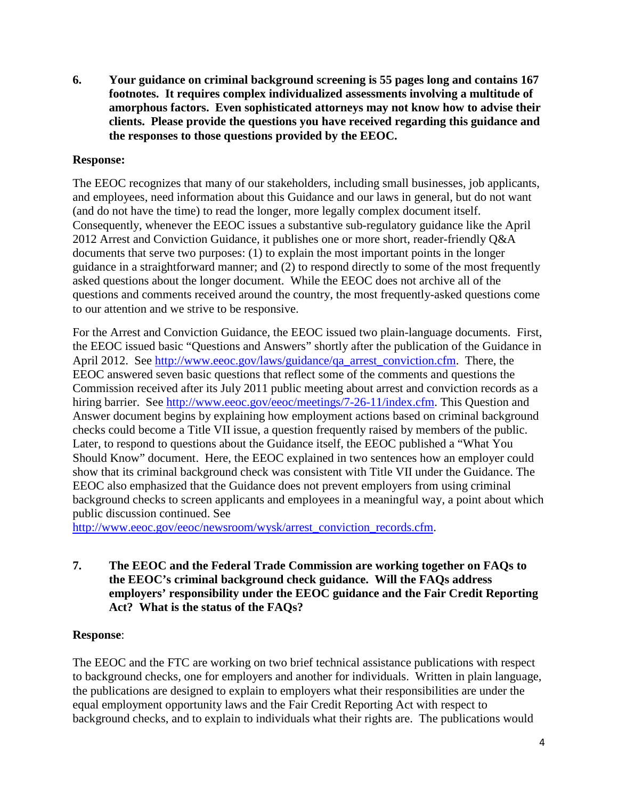**6. Your guidance on criminal background screening is 55 pages long and contains 167 footnotes. It requires complex individualized assessments involving a multitude of amorphous factors. Even sophisticated attorneys may not know how to advise their clients. Please provide the questions you have received regarding this guidance and the responses to those questions provided by the EEOC.** 

## **Response:**

The EEOC recognizes that many of our stakeholders, including small businesses, job applicants, and employees, need information about this Guidance and our laws in general, but do not want (and do not have the time) to read the longer, more legally complex document itself. Consequently, whenever the EEOC issues a substantive sub-regulatory guidance like the April 2012 Arrest and Conviction Guidance, it publishes one or more short, reader-friendly Q&A documents that serve two purposes: (1) to explain the most important points in the longer guidance in a straightforward manner; and (2) to respond directly to some of the most frequently asked questions about the longer document. While the EEOC does not archive all of the questions and comments received around the country, the most frequently-asked questions come to our attention and we strive to be responsive.

For the Arrest and Conviction Guidance, the EEOC issued two plain-language documents. First, the EEOC issued basic "Questions and Answers" shortly after the publication of the Guidance in April 2012. See [http://www.eeoc.gov/laws/guidance/qa\\_arrest\\_conviction.cfm.](http://www.eeoc.gov/laws/guidance/qa_arrest_conviction.cfm) There, the EEOC answered seven basic questions that reflect some of the comments and questions the Commission received after its July 2011 public meeting about arrest and conviction records as a hiring barrier. See [http://www.eeoc.gov/eeoc/meetings/7-26-11/index.cfm.](http://www.eeoc.gov/eeoc/meetings/7-26-11/index.cfm) This Question and Answer document begins by explaining how employment actions based on criminal background checks could become a Title VII issue, a question frequently raised by members of the public. Later, to respond to questions about the Guidance itself, the EEOC published a "What You Should Know" document. Here, the EEOC explained in two sentences how an employer could show that its criminal background check was consistent with Title VII under the Guidance. The EEOC also emphasized that the Guidance does not prevent employers from using criminal background checks to screen applicants and employees in a meaningful way, a point about which public discussion continued. See

[http://www.eeoc.gov/eeoc/newsroom/wysk/arrest\\_conviction\\_records.cfm.](http://www.eeoc.gov/eeoc/newsroom/wysk/arrest_conviction_records.cfm)

## **7. The EEOC and the Federal Trade Commission are working together on FAQs to the EEOC's criminal background check guidance. Will the FAQs address employers' responsibility under the EEOC guidance and the Fair Credit Reporting Act? What is the status of the FAQs?**

## **Response**:

The EEOC and the FTC are working on two brief technical assistance publications with respect to background checks, one for employers and another for individuals. Written in plain language, the publications are designed to explain to employers what their responsibilities are under the equal employment opportunity laws and the Fair Credit Reporting Act with respect to background checks, and to explain to individuals what their rights are. The publications would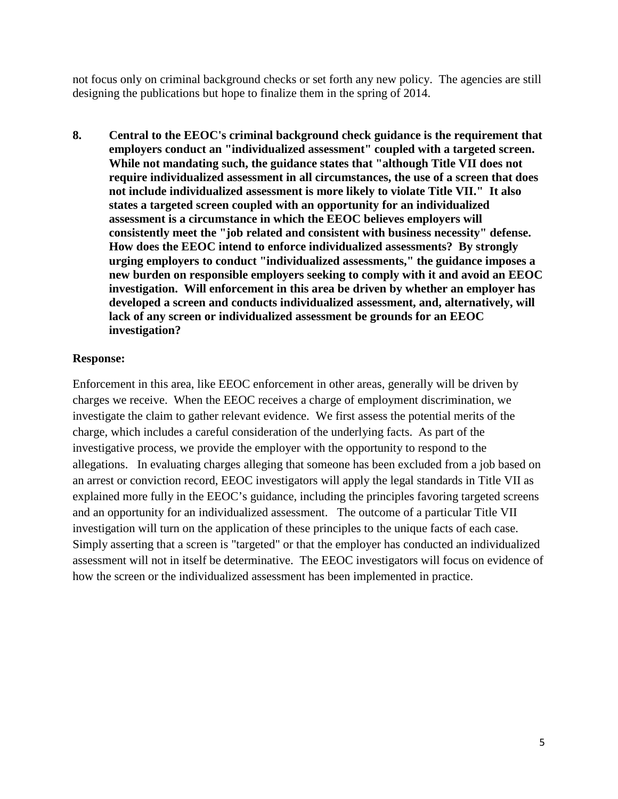not focus only on criminal background checks or set forth any new policy. The agencies are still designing the publications but hope to finalize them in the spring of 2014.

**8. Central to the EEOC's criminal background check guidance is the requirement that employers conduct an "individualized assessment" coupled with a targeted screen. While not mandating such, the guidance states that "although Title VII does not require individualized assessment in all circumstances, the use of a screen that does not include individualized assessment is more likely to violate Title VII." It also states a targeted screen coupled with an opportunity for an individualized assessment is a circumstance in which the EEOC believes employers will consistently meet the "job related and consistent with business necessity" defense. How does the EEOC intend to enforce individualized assessments? By strongly urging employers to conduct "individualized assessments," the guidance imposes a new burden on responsible employers seeking to comply with it and avoid an EEOC investigation. Will enforcement in this area be driven by whether an employer has developed a screen and conducts individualized assessment, and, alternatively, will lack of any screen or individualized assessment be grounds for an EEOC investigation?** 

## **Response:**

Enforcement in this area, like EEOC enforcement in other areas, generally will be driven by charges we receive. When the EEOC receives a charge of employment discrimination, we investigate the claim to gather relevant evidence. We first assess the potential merits of the charge, which includes a careful consideration of the underlying facts. As part of the investigative process, we provide the employer with the opportunity to respond to the allegations. In evaluating charges alleging that someone has been excluded from a job based on an arrest or conviction record, EEOC investigators will apply the legal standards in Title VII as explained more fully in the EEOC's guidance, including the principles favoring targeted screens and an opportunity for an individualized assessment. The outcome of a particular Title VII investigation will turn on the application of these principles to the unique facts of each case. Simply asserting that a screen is "targeted" or that the employer has conducted an individualized assessment will not in itself be determinative. The EEOC investigators will focus on evidence of how the screen or the individualized assessment has been implemented in practice.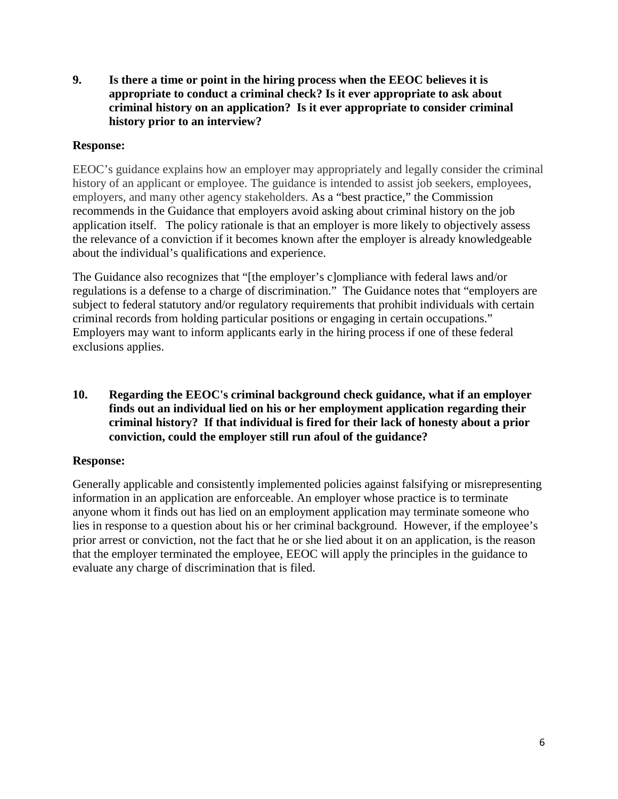**9. Is there a time or point in the hiring process when the EEOC believes it is appropriate to conduct a criminal check? Is it ever appropriate to ask about criminal history on an application? Is it ever appropriate to consider criminal history prior to an interview?**

## **Response:**

EEOC's guidance explains how an employer may appropriately and legally consider the criminal history of an applicant or employee. The guidance is intended to assist job seekers, employees, employers, and many other agency stakeholders. As a "best practice," the Commission recommends in the Guidance that employers avoid asking about criminal history on the job application itself. The policy rationale is that an employer is more likely to objectively assess the relevance of a conviction if it becomes known after the employer is already knowledgeable about the individual's qualifications and experience.

The Guidance also recognizes that "[the employer's c]ompliance with federal laws and/or regulations is a defense to a charge of discrimination." The Guidance notes that "employers are subject to federal statutory and/or regulatory requirements that prohibit individuals with certain criminal records from holding particular positions or engaging in certain occupations." Employers may want to inform applicants early in the hiring process if one of these federal exclusions applies.

**10. Regarding the EEOC's criminal background check guidance, what if an employer finds out an individual lied on his or her employment application regarding their criminal history? If that individual is fired for their lack of honesty about a prior conviction, could the employer still run afoul of the guidance?** 

# **Response:**

Generally applicable and consistently implemented policies against falsifying or misrepresenting information in an application are enforceable. An employer whose practice is to terminate anyone whom it finds out has lied on an employment application may terminate someone who lies in response to a question about his or her criminal background. However, if the employee's prior arrest or conviction, not the fact that he or she lied about it on an application, is the reason that the employer terminated the employee, EEOC will apply the principles in the guidance to evaluate any charge of discrimination that is filed.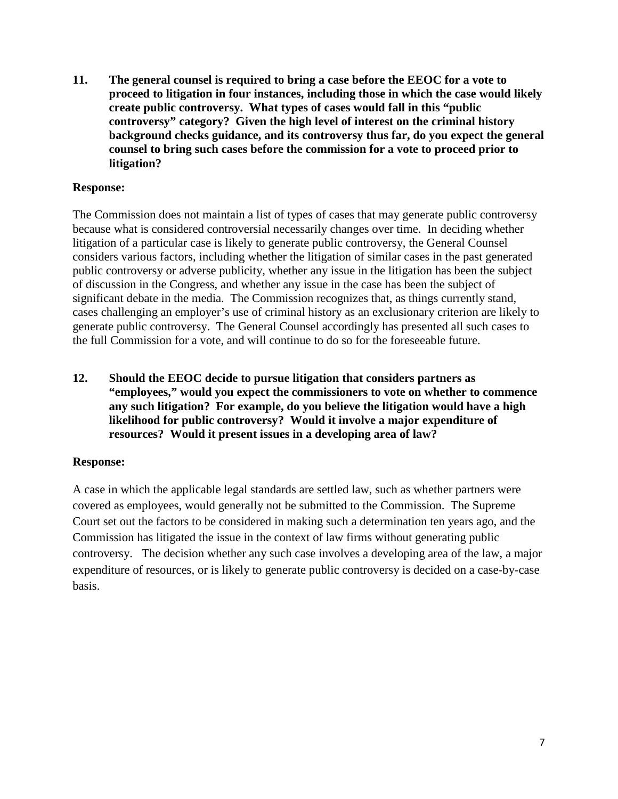**11. The general counsel is required to bring a case before the EEOC for a vote to proceed to litigation in four instances, including those in which the case would likely create public controversy. What types of cases would fall in this "public controversy" category? Given the high level of interest on the criminal history background checks guidance, and its controversy thus far, do you expect the general counsel to bring such cases before the commission for a vote to proceed prior to litigation?**

## **Response:**

The Commission does not maintain a list of types of cases that may generate public controversy because what is considered controversial necessarily changes over time. In deciding whether litigation of a particular case is likely to generate public controversy, the General Counsel considers various factors, including whether the litigation of similar cases in the past generated public controversy or adverse publicity, whether any issue in the litigation has been the subject of discussion in the Congress, and whether any issue in the case has been the subject of significant debate in the media. The Commission recognizes that, as things currently stand, cases challenging an employer's use of criminal history as an exclusionary criterion are likely to generate public controversy. The General Counsel accordingly has presented all such cases to the full Commission for a vote, and will continue to do so for the foreseeable future.

**12. Should the EEOC decide to pursue litigation that considers partners as "employees," would you expect the commissioners to vote on whether to commence any such litigation? For example, do you believe the litigation would have a high likelihood for public controversy? Would it involve a major expenditure of resources? Would it present issues in a developing area of law?**

## **Response:**

A case in which the applicable legal standards are settled law, such as whether partners were covered as employees, would generally not be submitted to the Commission. The Supreme Court set out the factors to be considered in making such a determination ten years ago, and the Commission has litigated the issue in the context of law firms without generating public controversy. The decision whether any such case involves a developing area of the law, a major expenditure of resources, or is likely to generate public controversy is decided on a case-by-case basis.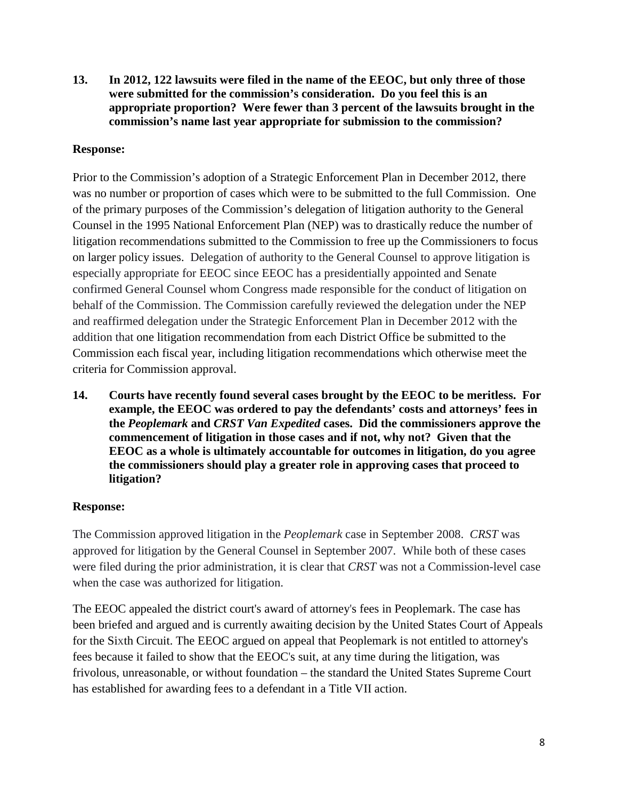**13. In 2012, 122 lawsuits were filed in the name of the EEOC, but only three of those were submitted for the commission's consideration. Do you feel this is an appropriate proportion? Were fewer than 3 percent of the lawsuits brought in the commission's name last year appropriate for submission to the commission?**

# **Response:**

Prior to the Commission's adoption of a Strategic Enforcement Plan in December 2012, there was no number or proportion of cases which were to be submitted to the full Commission. One of the primary purposes of the Commission's delegation of litigation authority to the General Counsel in the 1995 National Enforcement Plan (NEP) was to drastically reduce the number of litigation recommendations submitted to the Commission to free up the Commissioners to focus on larger policy issues. Delegation of authority to the General Counsel to approve litigation is especially appropriate for EEOC since EEOC has a presidentially appointed and Senate confirmed General Counsel whom Congress made responsible for the conduct of litigation on behalf of the Commission. The Commission carefully reviewed the delegation under the NEP and reaffirmed delegation under the Strategic Enforcement Plan in December 2012 with the addition that one litigation recommendation from each District Office be submitted to the Commission each fiscal year, including litigation recommendations which otherwise meet the criteria for Commission approval.

**14. Courts have recently found several cases brought by the EEOC to be meritless. For example, the EEOC was ordered to pay the defendants' costs and attorneys' fees in the** *Peoplemark* **and** *CRST Van Expedited* **cases. Did the commissioners approve the commencement of litigation in those cases and if not, why not? Given that the EEOC as a whole is ultimately accountable for outcomes in litigation, do you agree the commissioners should play a greater role in approving cases that proceed to litigation?**

## **Response:**

The Commission approved litigation in the *Peoplemark* case in September 2008. *CRST* was approved for litigation by the General Counsel in September 2007. While both of these cases were filed during the prior administration, it is clear that *CRST* was not a Commission-level case when the case was authorized for litigation.

The EEOC appealed the district court's award of attorney's fees in Peoplemark. The case has been briefed and argued and is currently awaiting decision by the United States Court of Appeals for the Sixth Circuit. The EEOC argued on appeal that Peoplemark is not entitled to attorney's fees because it failed to show that the EEOC's suit, at any time during the litigation, was frivolous, unreasonable, or without foundation – the standard the United States Supreme Court has established for awarding fees to a defendant in a Title VII action.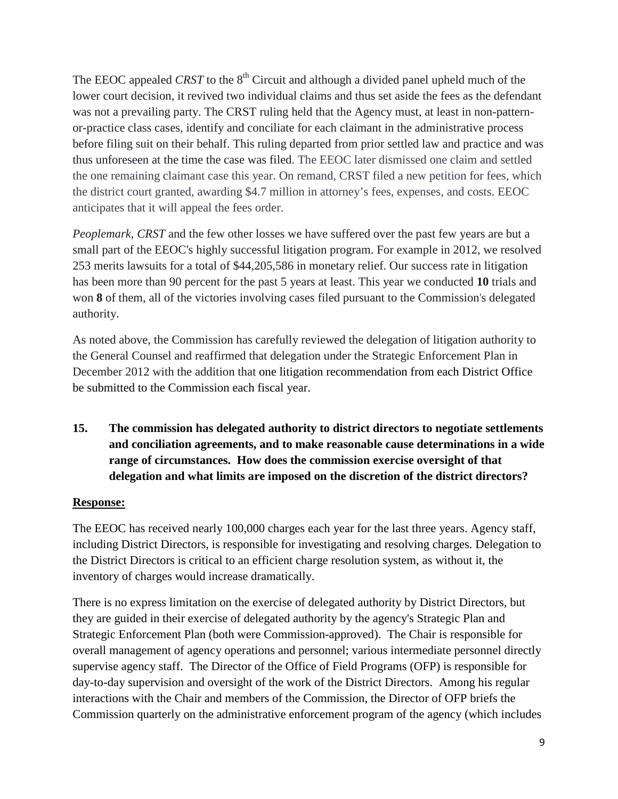The EEOC appealed *CRST* to the 8<sup>th</sup> Circuit and although a divided panel upheld much of the lower court decision, it revived two individual claims and thus set aside the fees as the defendant was not a prevailing party. The CRST ruling held that the Agency must, at least in non-patternor-practice class cases, identify and conciliate for each claimant in the administrative process before filing suit on their behalf. This ruling departed from prior settled law and practice and was thus unforeseen at the time the case was filed. The EEOC later dismissed one claim and settled the one remaining claimant case this year. On remand, CRST filed a new petition for fees, which the district court granted, awarding \$4.7 million in attorney's fees, expenses, and costs. EEOC anticipates that it will appeal the fees order.

*Peoplemark, CRST* and the few other losses we have suffered over the past few years are but a small part of the EEOC's highly successful litigation program. For example in 2012, we resolved 253 merits lawsuits for a total of \$44,205,586 in monetary relief. Our success rate in litigation has been more than 90 percent for the past 5 years at least. This year we conducted **10** trials and won **8** of them, all of the victories involving cases filed pursuant to the Commission's delegated authority.

As noted above, the Commission has carefully reviewed the delegation of litigation authority to the General Counsel and reaffirmed that delegation under the Strategic Enforcement Plan in December 2012 with the addition that one litigation recommendation from each District Office be submitted to the Commission each fiscal year.

**15. The commission has delegated authority to district directors to negotiate settlements and conciliation agreements, and to make reasonable cause determinations in a wide range of circumstances. How does the commission exercise oversight of that delegation and what limits are imposed on the discretion of the district directors?**

## **Response:**

The EEOC has received nearly 100,000 charges each year for the last three years. Agency staff, including District Directors, is responsible for investigating and resolving charges. Delegation to the District Directors is critical to an efficient charge resolution system, as without it, the inventory of charges would increase dramatically.

There is no express limitation on the exercise of delegated authority by District Directors, but they are guided in their exercise of delegated authority by the agency's Strategic Plan and Strategic Enforcement Plan (both were Commission-approved). The Chair is responsible for overall management of agency operations and personnel; various intermediate personnel directly supervise agency staff. The Director of the Office of Field Programs (OFP) is responsible for day-to-day supervision and oversight of the work of the District Directors. Among his regular interactions with the Chair and members of the Commission, the Director of OFP briefs the Commission quarterly on the administrative enforcement program of the agency (which includes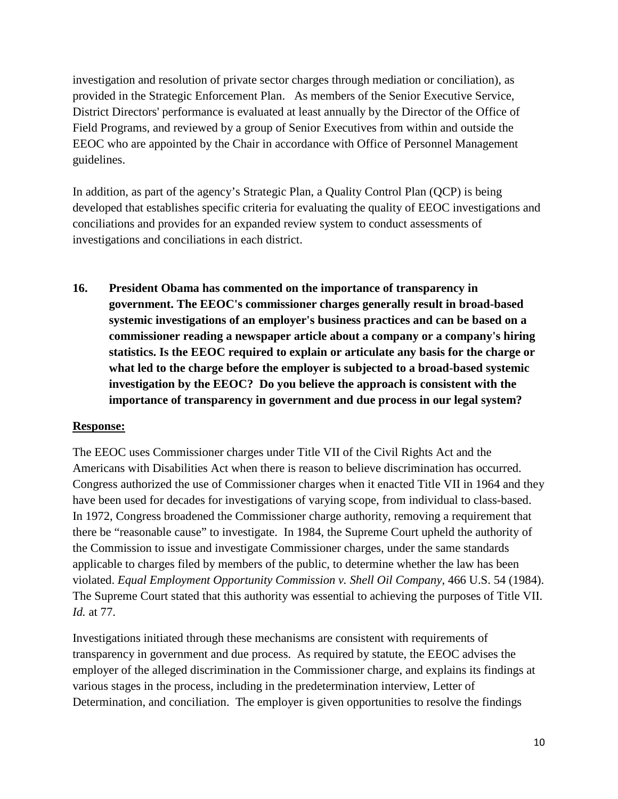investigation and resolution of private sector charges through mediation or conciliation), as provided in the Strategic Enforcement Plan. As members of the Senior Executive Service, District Directors' performance is evaluated at least annually by the Director of the Office of Field Programs, and reviewed by a group of Senior Executives from within and outside the EEOC who are appointed by the Chair in accordance with Office of Personnel Management guidelines.

In addition, as part of the agency's Strategic Plan, a Quality Control Plan (QCP) is being developed that establishes specific criteria for evaluating the quality of EEOC investigations and conciliations and provides for an expanded review system to conduct assessments of investigations and conciliations in each district.

**16. President Obama has commented on the importance of transparency in government. The EEOC's commissioner charges generally result in broad-based systemic investigations of an employer's business practices and can be based on a commissioner reading a newspaper article about a company or a company's hiring statistics. Is the EEOC required to explain or articulate any basis for the charge or what led to the charge before the employer is subjected to a broad-based systemic investigation by the EEOC? Do you believe the approach is consistent with the importance of transparency in government and due process in our legal system?**

#### **Response:**

The EEOC uses Commissioner charges under Title VII of the Civil Rights Act and the Americans with Disabilities Act when there is reason to believe discrimination has occurred. Congress authorized the use of Commissioner charges when it enacted Title VII in 1964 and they have been used for decades for investigations of varying scope, from individual to class-based. In 1972, Congress broadened the Commissioner charge authority, removing a requirement that there be "reasonable cause" to investigate. In 1984, the Supreme Court upheld the authority of the Commission to issue and investigate Commissioner charges, under the same standards applicable to charges filed by members of the public, to determine whether the law has been violated. *Equal Employment Opportunity Commission v. Shell Oil Company*, 466 U.S. 54 (1984). The Supreme Court stated that this authority was essential to achieving the purposes of Title VII. *Id.* at 77.

Investigations initiated through these mechanisms are consistent with requirements of transparency in government and due process. As required by statute, the EEOC advises the employer of the alleged discrimination in the Commissioner charge, and explains its findings at various stages in the process, including in the predetermination interview, Letter of Determination, and conciliation. The employer is given opportunities to resolve the findings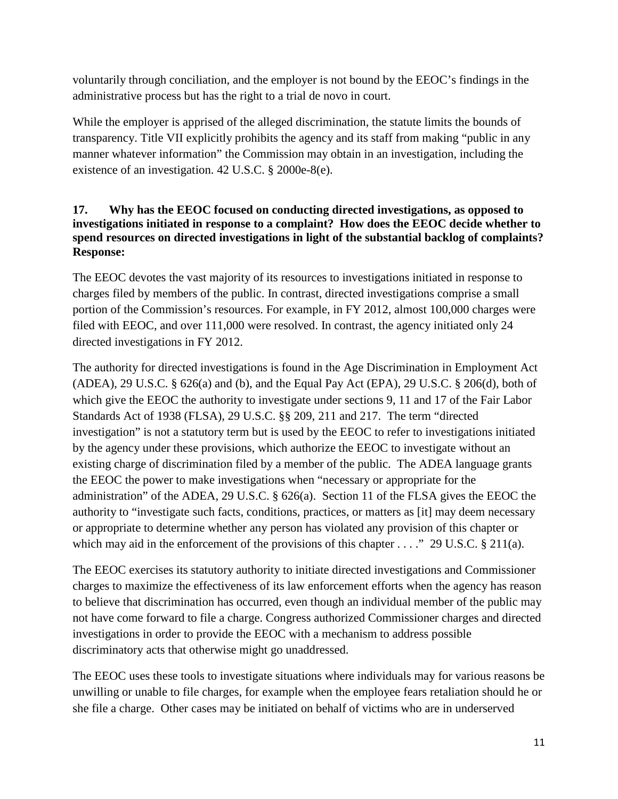voluntarily through conciliation, and the employer is not bound by the EEOC's findings in the administrative process but has the right to a trial de novo in court.

While the employer is apprised of the alleged discrimination, the statute limits the bounds of transparency. Title VII explicitly prohibits the agency and its staff from making "public in any manner whatever information" the Commission may obtain in an investigation, including the existence of an investigation. 42 U.S.C. § 2000e-8(e).

# **17. Why has the EEOC focused on conducting directed investigations, as opposed to investigations initiated in response to a complaint? How does the EEOC decide whether to spend resources on directed investigations in light of the substantial backlog of complaints? Response:**

The EEOC devotes the vast majority of its resources to investigations initiated in response to charges filed by members of the public. In contrast, directed investigations comprise a small portion of the Commission's resources. For example, in FY 2012, almost 100,000 charges were filed with EEOC, and over 111,000 were resolved. In contrast, the agency initiated only 24 directed investigations in FY 2012.

The authority for directed investigations is found in the Age Discrimination in Employment Act (ADEA), 29 U.S.C.  $\S$  626(a) and (b), and the Equal Pay Act (EPA), 29 U.S.C.  $\S$  206(d), both of which give the EEOC the authority to investigate under sections 9, 11 and 17 of the Fair Labor Standards Act of 1938 (FLSA), 29 U.S.C. §§ 209, 211 and 217. The term "directed investigation" is not a statutory term but is used by the EEOC to refer to investigations initiated by the agency under these provisions, which authorize the EEOC to investigate without an existing charge of discrimination filed by a member of the public. The ADEA language grants the EEOC the power to make investigations when "necessary or appropriate for the administration" of the ADEA, 29 U.S.C. § 626(a). Section 11 of the FLSA gives the EEOC the authority to "investigate such facts, conditions, practices, or matters as [it] may deem necessary or appropriate to determine whether any person has violated any provision of this chapter or which may aid in the enforcement of the provisions of this chapter . . . ." 29 U.S.C. § 211(a).

The EEOC exercises its statutory authority to initiate directed investigations and Commissioner charges to maximize the effectiveness of its law enforcement efforts when the agency has reason to believe that discrimination has occurred, even though an individual member of the public may not have come forward to file a charge. Congress authorized Commissioner charges and directed investigations in order to provide the EEOC with a mechanism to address possible discriminatory acts that otherwise might go unaddressed.

The EEOC uses these tools to investigate situations where individuals may for various reasons be unwilling or unable to file charges, for example when the employee fears retaliation should he or she file a charge. Other cases may be initiated on behalf of victims who are in underserved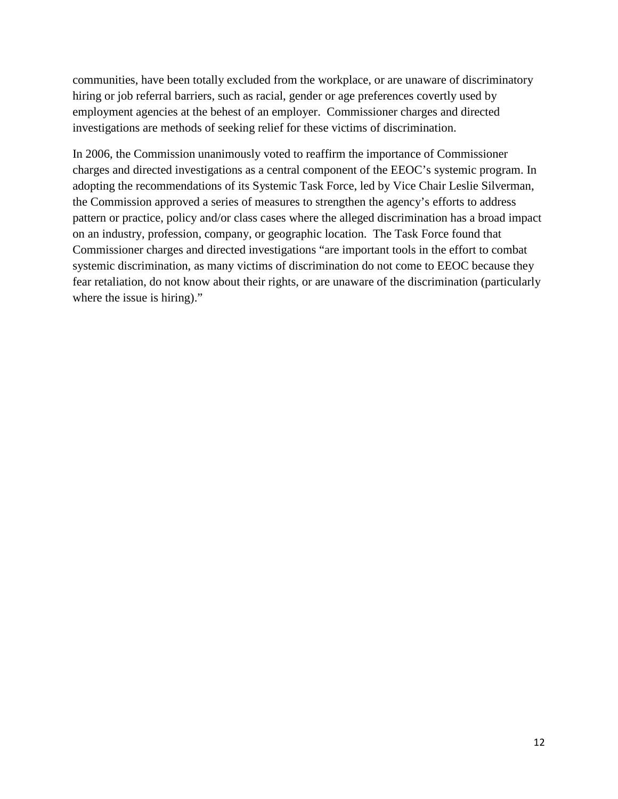communities, have been totally excluded from the workplace, or are unaware of discriminatory hiring or job referral barriers, such as racial, gender or age preferences covertly used by employment agencies at the behest of an employer. Commissioner charges and directed investigations are methods of seeking relief for these victims of discrimination.

In 2006, the Commission unanimously voted to reaffirm the importance of Commissioner charges and directed investigations as a central component of the EEOC's systemic program. In adopting the recommendations of its Systemic Task Force, led by Vice Chair Leslie Silverman, the Commission approved a series of measures to strengthen the agency's efforts to address pattern or practice, policy and/or class cases where the alleged discrimination has a broad impact on an industry, profession, company, or geographic location. The Task Force found that Commissioner charges and directed investigations "are important tools in the effort to combat systemic discrimination, as many victims of discrimination do not come to EEOC because they fear retaliation, do not know about their rights, or are unaware of the discrimination (particularly where the issue is hiring)."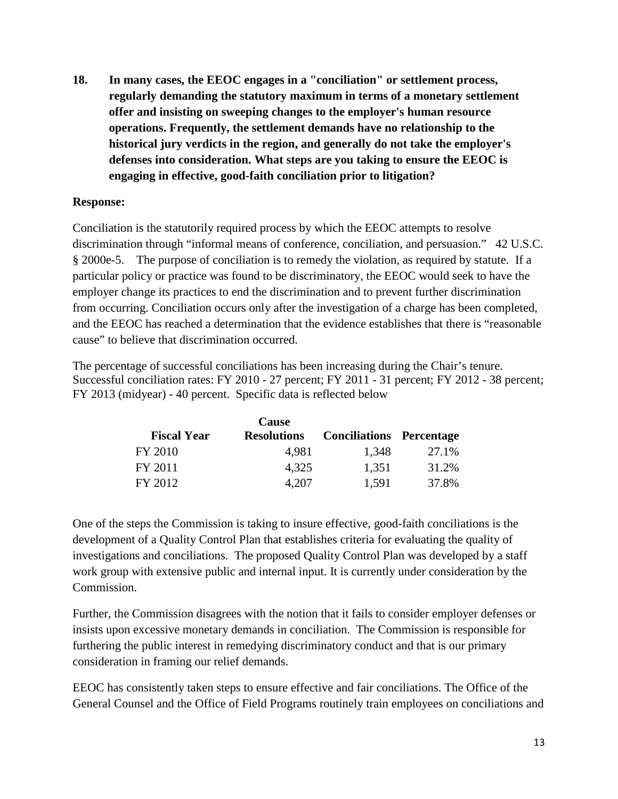**18. In many cases, the EEOC engages in a "conciliation" or settlement process, regularly demanding the statutory maximum in terms of a monetary settlement offer and insisting on sweeping changes to the employer's human resource operations. Frequently, the settlement demands have no relationship to the historical jury verdicts in the region, and generally do not take the employer's defenses into consideration. What steps are you taking to ensure the EEOC is engaging in effective, good-faith conciliation prior to litigation?** 

## **Response:**

Conciliation is the statutorily required process by which the EEOC attempts to resolve discrimination through "informal means of conference, conciliation, and persuasion." 42 U.S.C. § 2000e-5. The purpose of conciliation is to remedy the violation, as required by statute. If a particular policy or practice was found to be discriminatory, the EEOC would seek to have the employer change its practices to end the discrimination and to prevent further discrimination from occurring. Conciliation occurs only after the investigation of a charge has been completed, and the EEOC has reached a determination that the evidence establishes that there is "reasonable cause" to believe that discrimination occurred.

The percentage of successful conciliations has been increasing during the Chair's tenure. Successful conciliation rates: FY 2010 - 27 percent; FY 2011 - 31 percent; FY 2012 - 38 percent; FY 2013 (midyear) - 40 percent. Specific data is reflected below

|                    | Cause              |                                 |       |
|--------------------|--------------------|---------------------------------|-------|
| <b>Fiscal Year</b> | <b>Resolutions</b> | <b>Conciliations Percentage</b> |       |
| FY 2010            | 4,981              | 1,348                           | 27.1% |
| FY 2011            | 4,325              | 1,351                           | 31.2% |
| FY 2012            | 4,207              | 1,591                           | 37.8% |

One of the steps the Commission is taking to insure effective, good-faith conciliations is the development of a Quality Control Plan that establishes criteria for evaluating the quality of investigations and conciliations. The proposed Quality Control Plan was developed by a staff work group with extensive public and internal input. It is currently under consideration by the Commission.

Further, the Commission disagrees with the notion that it fails to consider employer defenses or insists upon excessive monetary demands in conciliation. The Commission is responsible for furthering the public interest in remedying discriminatory conduct and that is our primary consideration in framing our relief demands.

EEOC has consistently taken steps to ensure effective and fair conciliations. The Office of the General Counsel and the Office of Field Programs routinely train employees on conciliations and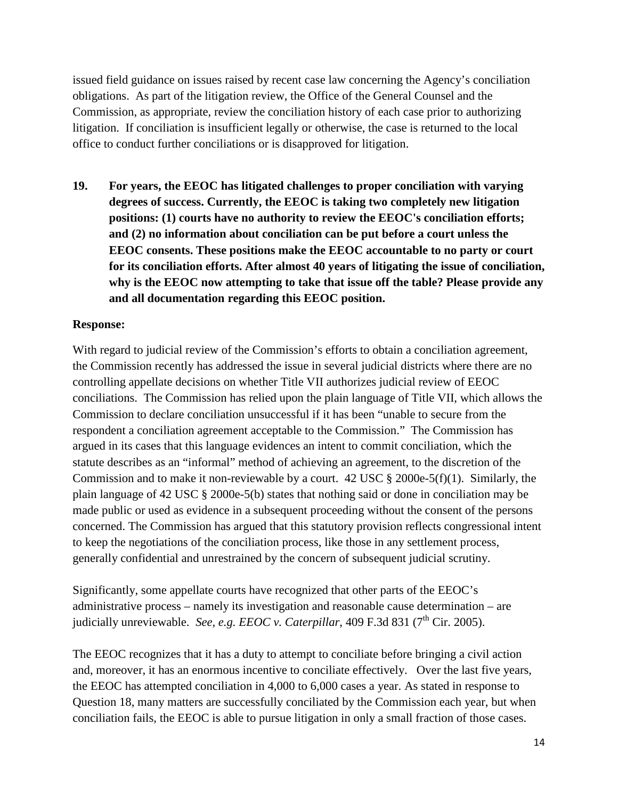issued field guidance on issues raised by recent case law concerning the Agency's conciliation obligations. As part of the litigation review, the Office of the General Counsel and the Commission, as appropriate, review the conciliation history of each case prior to authorizing litigation. If conciliation is insufficient legally or otherwise, the case is returned to the local office to conduct further conciliations or is disapproved for litigation.

**19. For years, the EEOC has litigated challenges to proper conciliation with varying degrees of success. Currently, the EEOC is taking two completely new litigation positions: (1) courts have no authority to review the EEOC's conciliation efforts; and (2) no information about conciliation can be put before a court unless the EEOC consents. These positions make the EEOC accountable to no party or court for its conciliation efforts. After almost 40 years of litigating the issue of conciliation, why is the EEOC now attempting to take that issue off the table? Please provide any and all documentation regarding this EEOC position.** 

## **Response:**

With regard to judicial review of the Commission's efforts to obtain a conciliation agreement, the Commission recently has addressed the issue in several judicial districts where there are no controlling appellate decisions on whether Title VII authorizes judicial review of EEOC conciliations. The Commission has relied upon the plain language of Title VII, which allows the Commission to declare conciliation unsuccessful if it has been "unable to secure from the respondent a conciliation agreement acceptable to the Commission." The Commission has argued in its cases that this language evidences an intent to commit conciliation, which the statute describes as an "informal" method of achieving an agreement, to the discretion of the Commission and to make it non-reviewable by a court.  $42 \text{ USC} \text{ } \text{\&} 2000e-5(f)(1)$ . Similarly, the plain language of 42 USC § 2000e-5(b) states that nothing said or done in conciliation may be made public or used as evidence in a subsequent proceeding without the consent of the persons concerned. The Commission has argued that this statutory provision reflects congressional intent to keep the negotiations of the conciliation process, like those in any settlement process, generally confidential and unrestrained by the concern of subsequent judicial scrutiny.

Significantly, some appellate courts have recognized that other parts of the EEOC's administrative process – namely its investigation and reasonable cause determination – are judicially unreviewable. *See, e.g. EEOC v. Caterpillar*, 409 F.3d 831 ( $7<sup>th</sup>$  Cir. 2005).

The EEOC recognizes that it has a duty to attempt to conciliate before bringing a civil action and, moreover, it has an enormous incentive to conciliate effectively. Over the last five years, the EEOC has attempted conciliation in 4,000 to 6,000 cases a year. As stated in response to Question 18, many matters are successfully conciliated by the Commission each year, but when conciliation fails, the EEOC is able to pursue litigation in only a small fraction of those cases.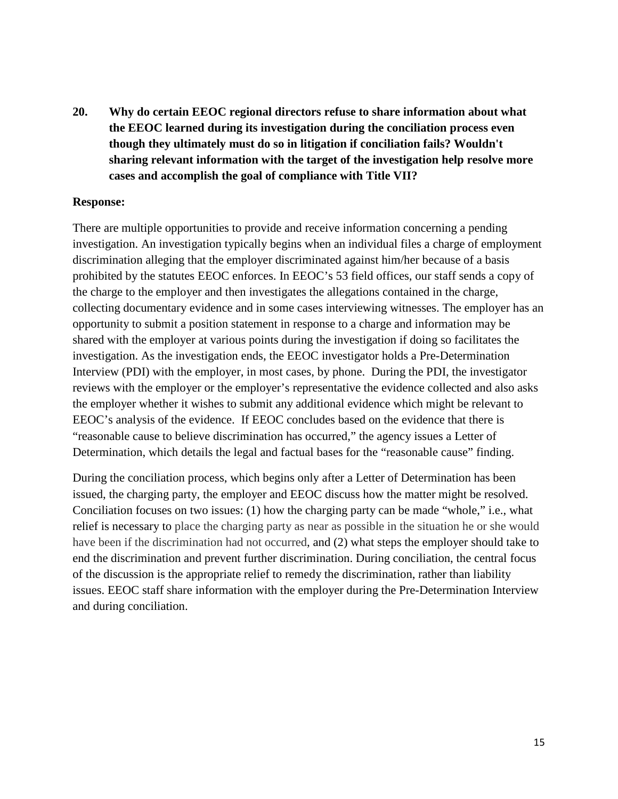**20. Why do certain EEOC regional directors refuse to share information about what the EEOC learned during its investigation during the conciliation process even though they ultimately must do so in litigation if conciliation fails? Wouldn't sharing relevant information with the target of the investigation help resolve more cases and accomplish the goal of compliance with Title VII?** 

#### **Response:**

There are multiple opportunities to provide and receive information concerning a pending investigation. An investigation typically begins when an individual files a charge of employment discrimination alleging that the employer discriminated against him/her because of a basis prohibited by the statutes EEOC enforces. In EEOC's 53 field offices, our staff sends a copy of the charge to the employer and then investigates the allegations contained in the charge, collecting documentary evidence and in some cases interviewing witnesses. The employer has an opportunity to submit a position statement in response to a charge and information may be shared with the employer at various points during the investigation if doing so facilitates the investigation. As the investigation ends, the EEOC investigator holds a Pre-Determination Interview (PDI) with the employer, in most cases, by phone. During the PDI, the investigator reviews with the employer or the employer's representative the evidence collected and also asks the employer whether it wishes to submit any additional evidence which might be relevant to EEOC's analysis of the evidence. If EEOC concludes based on the evidence that there is "reasonable cause to believe discrimination has occurred," the agency issues a Letter of Determination, which details the legal and factual bases for the "reasonable cause" finding.

During the conciliation process, which begins only after a Letter of Determination has been issued, the charging party, the employer and EEOC discuss how the matter might be resolved. Conciliation focuses on two issues: (1) how the charging party can be made "whole," i.e., what relief is necessary to place the charging party as near as possible in the situation he or she would have been if the discrimination had not occurred, and (2) what steps the employer should take to end the discrimination and prevent further discrimination. During conciliation, the central focus of the discussion is the appropriate relief to remedy the discrimination, rather than liability issues. EEOC staff share information with the employer during the Pre-Determination Interview and during conciliation.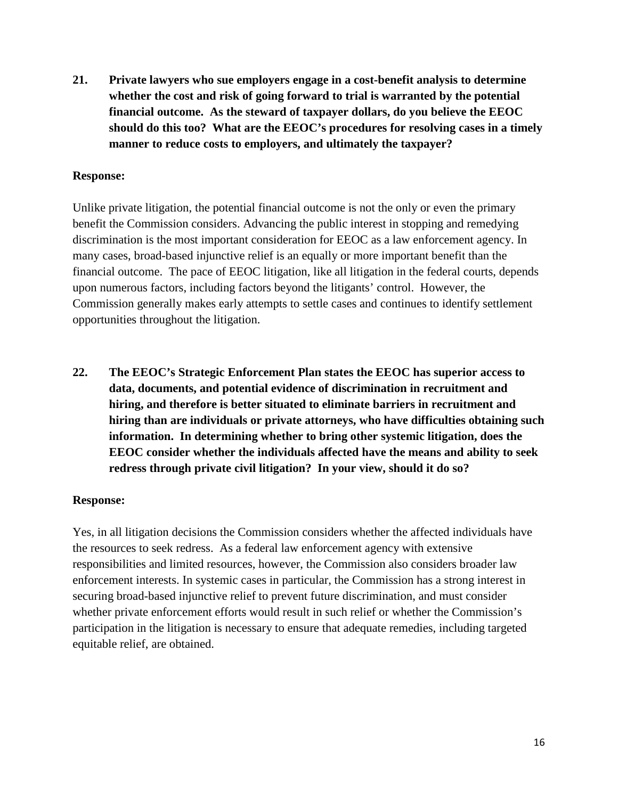**21. Private lawyers who sue employers engage in a cost-benefit analysis to determine whether the cost and risk of going forward to trial is warranted by the potential financial outcome. As the steward of taxpayer dollars, do you believe the EEOC should do this too? What are the EEOC's procedures for resolving cases in a timely manner to reduce costs to employers, and ultimately the taxpayer?**

#### **Response:**

Unlike private litigation, the potential financial outcome is not the only or even the primary benefit the Commission considers. Advancing the public interest in stopping and remedying discrimination is the most important consideration for EEOC as a law enforcement agency. In many cases, broad-based injunctive relief is an equally or more important benefit than the financial outcome. The pace of EEOC litigation, like all litigation in the federal courts, depends upon numerous factors, including factors beyond the litigants' control. However, the Commission generally makes early attempts to settle cases and continues to identify settlement opportunities throughout the litigation.

**22. The EEOC's Strategic Enforcement Plan states the EEOC has superior access to data, documents, and potential evidence of discrimination in recruitment and hiring, and therefore is better situated to eliminate barriers in recruitment and hiring than are individuals or private attorneys, who have difficulties obtaining such information. In determining whether to bring other systemic litigation, does the EEOC consider whether the individuals affected have the means and ability to seek redress through private civil litigation? In your view, should it do so?**

#### **Response:**

Yes, in all litigation decisions the Commission considers whether the affected individuals have the resources to seek redress. As a federal law enforcement agency with extensive responsibilities and limited resources, however, the Commission also considers broader law enforcement interests. In systemic cases in particular, the Commission has a strong interest in securing broad-based injunctive relief to prevent future discrimination, and must consider whether private enforcement efforts would result in such relief or whether the Commission's participation in the litigation is necessary to ensure that adequate remedies, including targeted equitable relief, are obtained.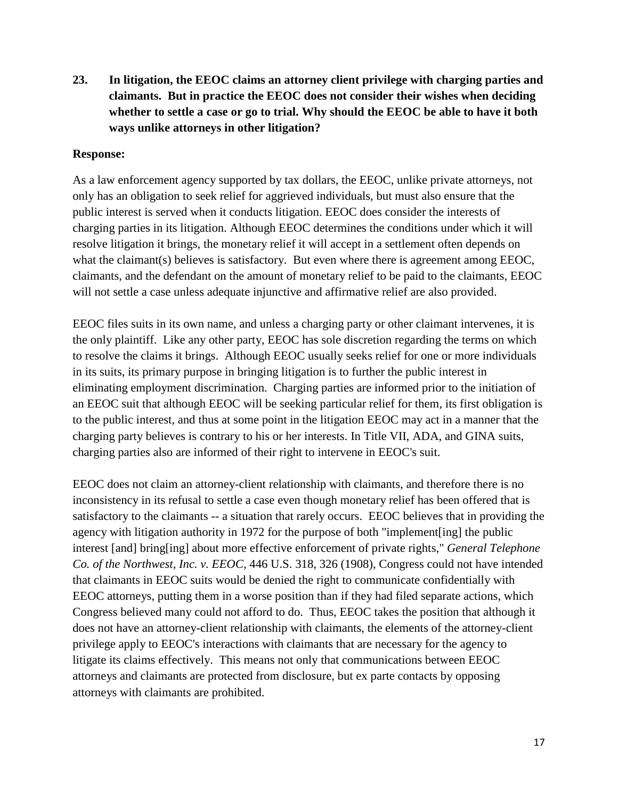**23. In litigation, the EEOC claims an attorney client privilege with charging parties and claimants. But in practice the EEOC does not consider their wishes when deciding whether to settle a case or go to trial. Why should the EEOC be able to have it both ways unlike attorneys in other litigation?** 

#### **Response:**

As a law enforcement agency supported by tax dollars, the EEOC, unlike private attorneys, not only has an obligation to seek relief for aggrieved individuals, but must also ensure that the public interest is served when it conducts litigation. EEOC does consider the interests of charging parties in its litigation. Although EEOC determines the conditions under which it will resolve litigation it brings, the monetary relief it will accept in a settlement often depends on what the claimant(s) believes is satisfactory. But even where there is agreement among EEOC, claimants, and the defendant on the amount of monetary relief to be paid to the claimants, EEOC will not settle a case unless adequate injunctive and affirmative relief are also provided.

EEOC files suits in its own name, and unless a charging party or other claimant intervenes, it is the only plaintiff. Like any other party, EEOC has sole discretion regarding the terms on which to resolve the claims it brings. Although EEOC usually seeks relief for one or more individuals in its suits, its primary purpose in bringing litigation is to further the public interest in eliminating employment discrimination. Charging parties are informed prior to the initiation of an EEOC suit that although EEOC will be seeking particular relief for them, its first obligation is to the public interest, and thus at some point in the litigation EEOC may act in a manner that the charging party believes is contrary to his or her interests. In Title VII, ADA, and GINA suits, charging parties also are informed of their right to intervene in EEOC's suit.

EEOC does not claim an attorney-client relationship with claimants, and therefore there is no inconsistency in its refusal to settle a case even though monetary relief has been offered that is satisfactory to the claimants -- a situation that rarely occurs. EEOC believes that in providing the agency with litigation authority in 1972 for the purpose of both "implement[ing] the public interest [and] bring[ing] about more effective enforcement of private rights," *General Telephone Co. of the Northwest, Inc. v. EEOC*, 446 U.S. 318, 326 (1908), Congress could not have intended that claimants in EEOC suits would be denied the right to communicate confidentially with EEOC attorneys, putting them in a worse position than if they had filed separate actions, which Congress believed many could not afford to do. Thus, EEOC takes the position that although it does not have an attorney-client relationship with claimants, the elements of the attorney-client privilege apply to EEOC's interactions with claimants that are necessary for the agency to litigate its claims effectively. This means not only that communications between EEOC attorneys and claimants are protected from disclosure, but ex parte contacts by opposing attorneys with claimants are prohibited.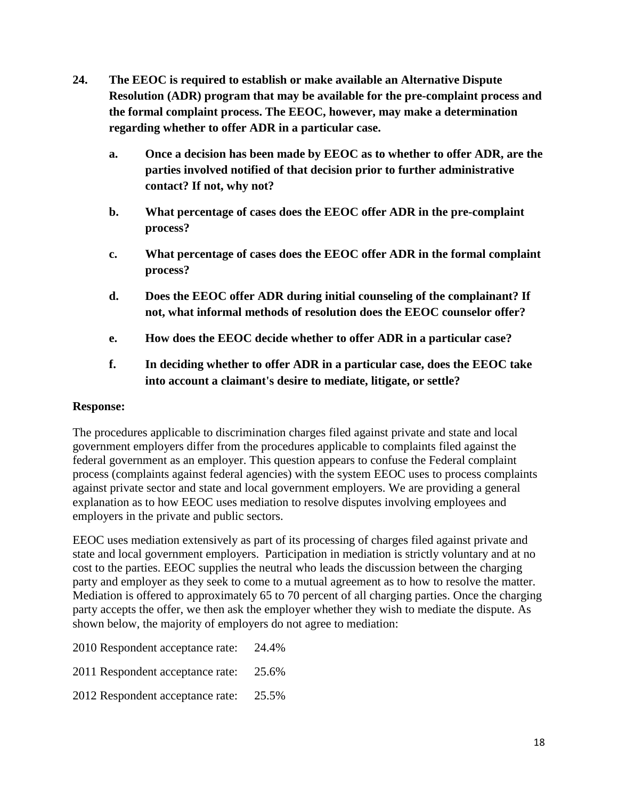- **24. The EEOC is required to establish or make available an Alternative Dispute Resolution (ADR) program that may be available for the pre-complaint process and the formal complaint process. The EEOC, however, may make a determination regarding whether to offer ADR in a particular case.**
	- **a. Once a decision has been made by EEOC as to whether to offer ADR, are the parties involved notified of that decision prior to further administrative contact? If not, why not?**
	- **b. What percentage of cases does the EEOC offer ADR in the pre-complaint process?**
	- **c. What percentage of cases does the EEOC offer ADR in the formal complaint process?**
	- **d. Does the EEOC offer ADR during initial counseling of the complainant? If not, what informal methods of resolution does the EEOC counselor offer?**
	- **e. How does the EEOC decide whether to offer ADR in a particular case?**
	- **f. In deciding whether to offer ADR in a particular case, does the EEOC take into account a claimant's desire to mediate, litigate, or settle?**

## **Response:**

The procedures applicable to discrimination charges filed against private and state and local government employers differ from the procedures applicable to complaints filed against the federal government as an employer. This question appears to confuse the Federal complaint process (complaints against federal agencies) with the system EEOC uses to process complaints against private sector and state and local government employers. We are providing a general explanation as to how EEOC uses mediation to resolve disputes involving employees and employers in the private and public sectors.

EEOC uses mediation extensively as part of its processing of charges filed against private and state and local government employers. Participation in mediation is strictly voluntary and at no cost to the parties. EEOC supplies the neutral who leads the discussion between the charging party and employer as they seek to come to a mutual agreement as to how to resolve the matter. Mediation is offered to approximately 65 to 70 percent of all charging parties. Once the charging party accepts the offer, we then ask the employer whether they wish to mediate the dispute. As shown below, the majority of employers do not agree to mediation:

- 2010 Respondent acceptance rate: 24.4%
- 2011 Respondent acceptance rate: 25.6%
- 2012 Respondent acceptance rate: 25.5%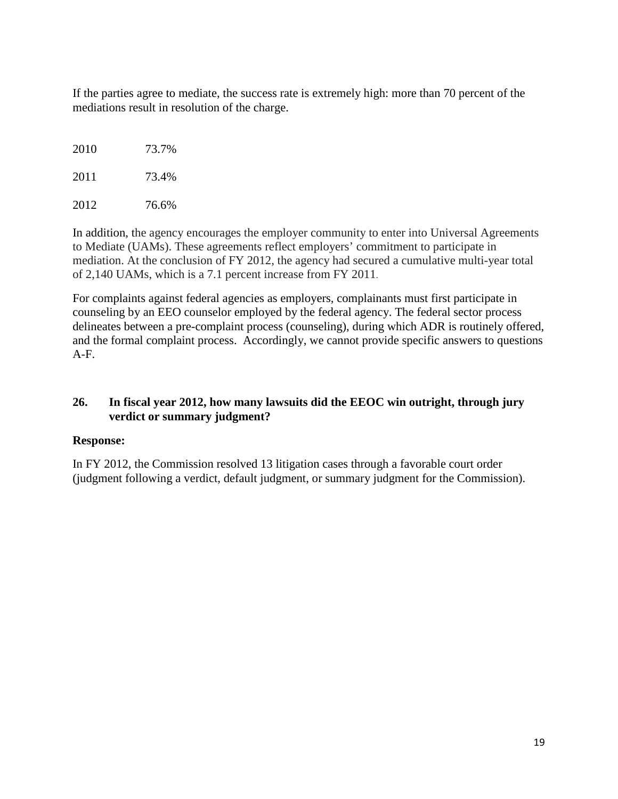If the parties agree to mediate, the success rate is extremely high: more than 70 percent of the mediations result in resolution of the charge.

2010 73.7% 2011 73.4%

2012 76.6%

In addition, the agency encourages the employer community to enter into Universal Agreements to Mediate (UAMs). These agreements reflect employers' commitment to participate in mediation. At the conclusion of FY 2012, the agency had secured a cumulative multi-year total of 2,140 UAMs, which is a 7.1 percent increase from FY 2011.

For complaints against federal agencies as employers, complainants must first participate in counseling by an EEO counselor employed by the federal agency. The federal sector process delineates between a pre-complaint process (counseling), during which ADR is routinely offered, and the formal complaint process. Accordingly, we cannot provide specific answers to questions A-F.

# **26. In fiscal year 2012, how many lawsuits did the EEOC win outright, through jury verdict or summary judgment?**

## **Response:**

In FY 2012, the Commission resolved 13 litigation cases through a favorable court order (judgment following a verdict, default judgment, or summary judgment for the Commission).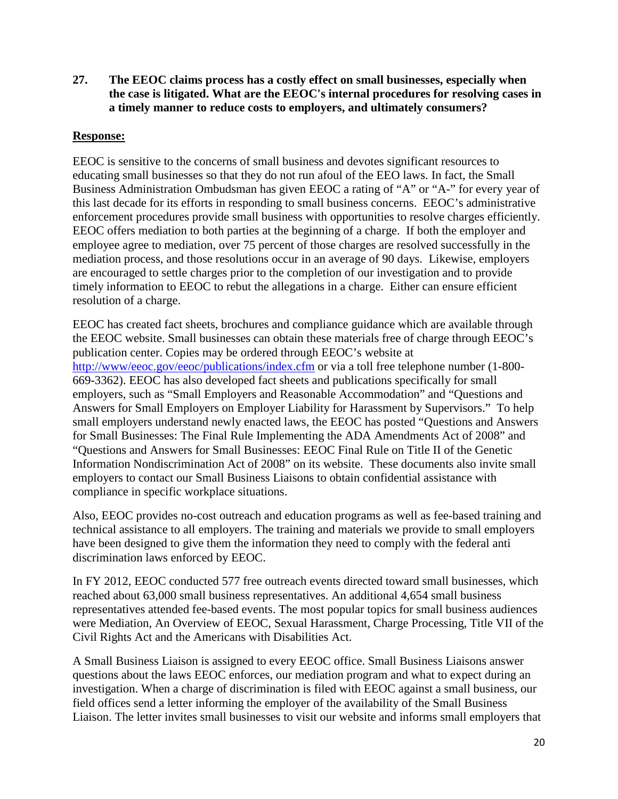**27. The EEOC claims process has a costly effect on small businesses, especially when the case is litigated. What are the EEOC's internal procedures for resolving cases in a timely manner to reduce costs to employers, and ultimately consumers?** 

## **Response:**

EEOC is sensitive to the concerns of small business and devotes significant resources to educating small businesses so that they do not run afoul of the EEO laws. In fact, the Small Business Administration Ombudsman has given EEOC a rating of "A" or "A-" for every year of this last decade for its efforts in responding to small business concerns. EEOC's administrative enforcement procedures provide small business with opportunities to resolve charges efficiently. EEOC offers mediation to both parties at the beginning of a charge. If both the employer and employee agree to mediation, over 75 percent of those charges are resolved successfully in the mediation process, and those resolutions occur in an average of 90 days. Likewise, employers are encouraged to settle charges prior to the completion of our investigation and to provide timely information to EEOC to rebut the allegations in a charge. Either can ensure efficient resolution of a charge.

EEOC has created fact sheets, brochures and compliance guidance which are available through the EEOC website. Small businesses can obtain these materials free of charge through EEOC's publication center. Copies may be ordered through EEOC's website at <http://www/eeoc.gov/eeoc/publications/index.cfm> or via a toll free telephone number (1-800- 669-3362). EEOC has also developed fact sheets and publications specifically for small employers, such as "Small Employers and Reasonable Accommodation" and "Questions and Answers for Small Employers on Employer Liability for Harassment by Supervisors." To help small employers understand newly enacted laws, the EEOC has posted "Questions and Answers for Small Businesses: The Final Rule Implementing the ADA Amendments Act of 2008" and "Questions and Answers for Small Businesses: EEOC Final Rule on Title II of the Genetic Information Nondiscrimination Act of 2008" on its website. These documents also invite small employers to contact our Small Business Liaisons to obtain confidential assistance with compliance in specific workplace situations.

Also, EEOC provides no-cost outreach and education programs as well as fee-based training and technical assistance to all employers. The training and materials we provide to small employers have been designed to give them the information they need to comply with the federal anti discrimination laws enforced by EEOC.

In FY 2012, EEOC conducted 577 free outreach events directed toward small businesses, which reached about 63,000 small business representatives. An additional 4,654 small business representatives attended fee-based events. The most popular topics for small business audiences were Mediation, An Overview of EEOC, Sexual Harassment, Charge Processing, Title VII of the Civil Rights Act and the Americans with Disabilities Act.

A Small Business Liaison is assigned to every EEOC office. Small Business Liaisons answer questions about the laws EEOC enforces, our mediation program and what to expect during an investigation. When a charge of discrimination is filed with EEOC against a small business, our field offices send a letter informing the employer of the availability of the Small Business Liaison. The letter invites small businesses to visit our website and informs small employers that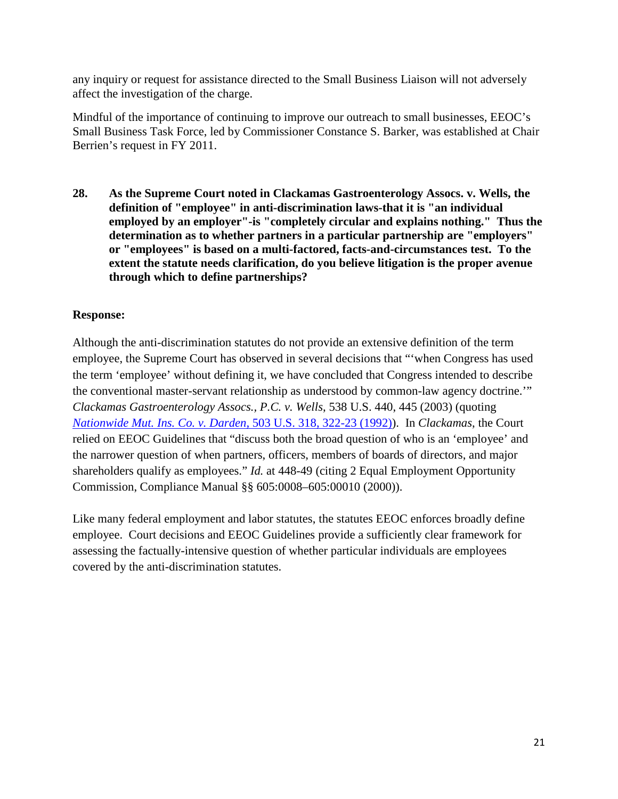any inquiry or request for assistance directed to the Small Business Liaison will not adversely affect the investigation of the charge.

Mindful of the importance of continuing to improve our outreach to small businesses, EEOC's Small Business Task Force, led by Commissioner Constance S. Barker, was established at Chair Berrien's request in FY 2011.

**28. As the Supreme Court noted in Clackamas Gastroenterology Assocs. v. Wells, the definition of "employee" in anti-discrimination laws-that it is "an individual employed by an employer"-is "completely circular and explains nothing." Thus the determination as to whether partners in a particular partnership are "employers" or "employees" is based on a multi-factored, facts-and-circumstances test. To the extent the statute needs clarification, do you believe litigation is the proper avenue through which to define partnerships?** 

# **Response:**

Although the anti-discrimination statutes do not provide an extensive definition of the term employee, the Supreme Court has observed in several decisions that "'when Congress has used the term 'employee' without defining it, we have concluded that Congress intended to describe the conventional master-servant relationship as understood by common-law agency doctrine.'" *Clackamas Gastroenterology Assocs., P.C. v. Wells*, 538 U.S. 440, 445 (2003) (quoting *[Nationwide Mut. Ins. Co. v. Darden,](https://a.next.westlaw.com/Link/Document/FullText?findType=Y&serNum=1992060791&pubNum=708&originationContext=document&transitionType=DocumentItem&contextData=(sc.History*oc.Search))* 503 U.S. 318, 322-23 (1992)). In *Clackamas*, the Court relied on EEOC Guidelines that "discuss both the broad question of who is an 'employee' and the narrower question of when partners, officers, members of boards of directors, and major shareholders qualify as employees." *Id.* at 448-49 (citing 2 Equal Employment Opportunity Commission, Compliance Manual §§ 605:0008–605:00010 (2000)).

Like many federal employment and labor statutes, the statutes EEOC enforces broadly define employee. Court decisions and EEOC Guidelines provide a sufficiently clear framework for assessing the factually-intensive question of whether particular individuals are employees covered by the anti-discrimination statutes.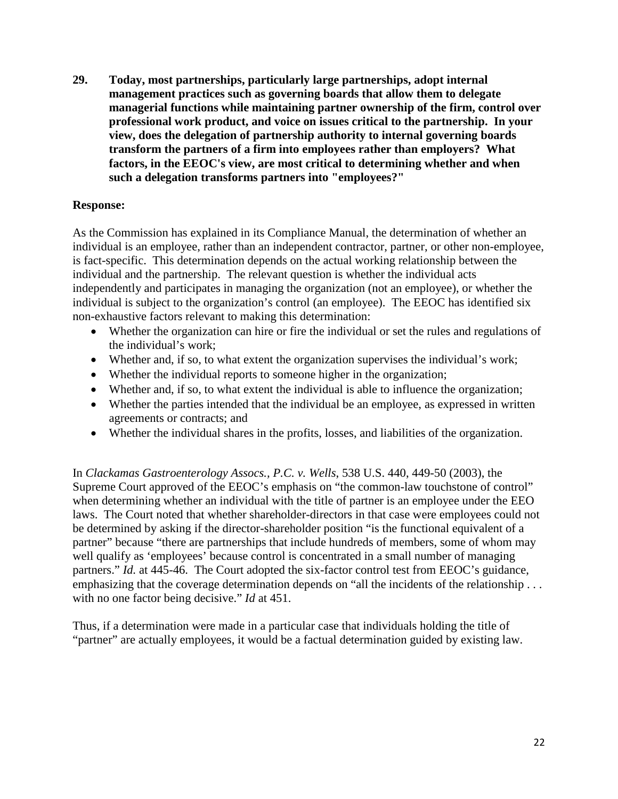**29. Today, most partnerships, particularly large partnerships, adopt internal management practices such as governing boards that allow them to delegate managerial functions while maintaining partner ownership of the firm, control over professional work product, and voice on issues critical to the partnership. In your view, does the delegation of partnership authority to internal governing boards transform the partners of a firm into employees rather than employers? What factors, in the EEOC's view, are most critical to determining whether and when such a delegation transforms partners into "employees?"**

## **Response:**

As the Commission has explained in its Compliance Manual, the determination of whether an individual is an employee, rather than an independent contractor, partner, or other non-employee, is fact-specific. This determination depends on the actual working relationship between the individual and the partnership. The relevant question is whether the individual acts independently and participates in managing the organization (not an employee), or whether the individual is subject to the organization's control (an employee). The EEOC has identified six non-exhaustive factors relevant to making this determination:

- Whether the organization can hire or fire the individual or set the rules and regulations of the individual's work;
- Whether and, if so, to what extent the organization supervises the individual's work;
- Whether the individual reports to some one higher in the organization;
- Whether and, if so, to what extent the individual is able to influence the organization;
- Whether the parties intended that the individual be an employee, as expressed in written agreements or contracts; and
- Whether the individual shares in the profits, losses, and liabilities of the organization.

In *Clackamas Gastroenterology Assocs., P.C. v. Wells*, 538 U.S. 440, 449-50 (2003), the Supreme Court approved of the EEOC's emphasis on "the common-law touchstone of control" when determining whether an individual with the title of partner is an employee under the EEO laws. The Court noted that whether shareholder-directors in that case were employees could not be determined by asking if the director-shareholder position "is the functional equivalent of a partner" because "there are partnerships that include hundreds of members, some of whom may well qualify as 'employees' because control is concentrated in a small number of managing partners." *Id.* at 445-46. The Court adopted the six-factor control test from EEOC's guidance, emphasizing that the coverage determination depends on "all the incidents of the relationship . . . with no one factor being decisive." *Id* at 451.

Thus, if a determination were made in a particular case that individuals holding the title of "partner" are actually employees, it would be a factual determination guided by existing law.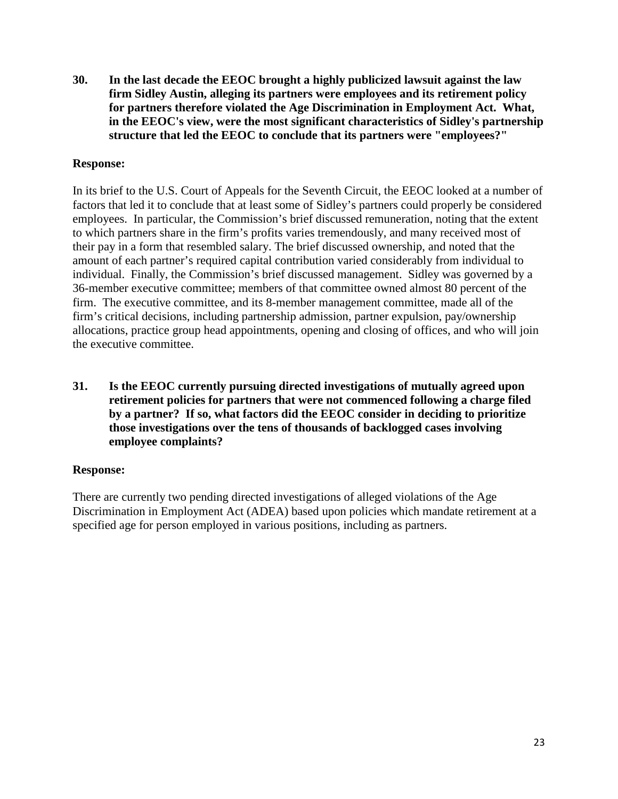**30. In the last decade the EEOC brought a highly publicized lawsuit against the law firm Sidley Austin, alleging its partners were employees and its retirement policy for partners therefore violated the Age Discrimination in Employment Act. What, in the EEOC's view, were the most significant characteristics of Sidley's partnership structure that led the EEOC to conclude that its partners were "employees?"**

## **Response:**

In its brief to the U.S. Court of Appeals for the Seventh Circuit, the EEOC looked at a number of factors that led it to conclude that at least some of Sidley's partners could properly be considered employees. In particular, the Commission's brief discussed remuneration, noting that the extent to which partners share in the firm's profits varies tremendously, and many received most of their pay in a form that resembled salary. The brief discussed ownership, and noted that the amount of each partner's required capital contribution varied considerably from individual to individual. Finally, the Commission's brief discussed management. Sidley was governed by a 36-member executive committee; members of that committee owned almost 80 percent of the firm. The executive committee, and its 8-member management committee, made all of the firm's critical decisions, including partnership admission, partner expulsion, pay/ownership allocations, practice group head appointments, opening and closing of offices, and who will join the executive committee.

**31. Is the EEOC currently pursuing directed investigations of mutually agreed upon retirement policies for partners that were not commenced following a charge filed by a partner? If so, what factors did the EEOC consider in deciding to prioritize those investigations over the tens of thousands of backlogged cases involving employee complaints?**

#### **Response:**

There are currently two pending directed investigations of alleged violations of the Age Discrimination in Employment Act (ADEA) based upon policies which mandate retirement at a specified age for person employed in various positions, including as partners.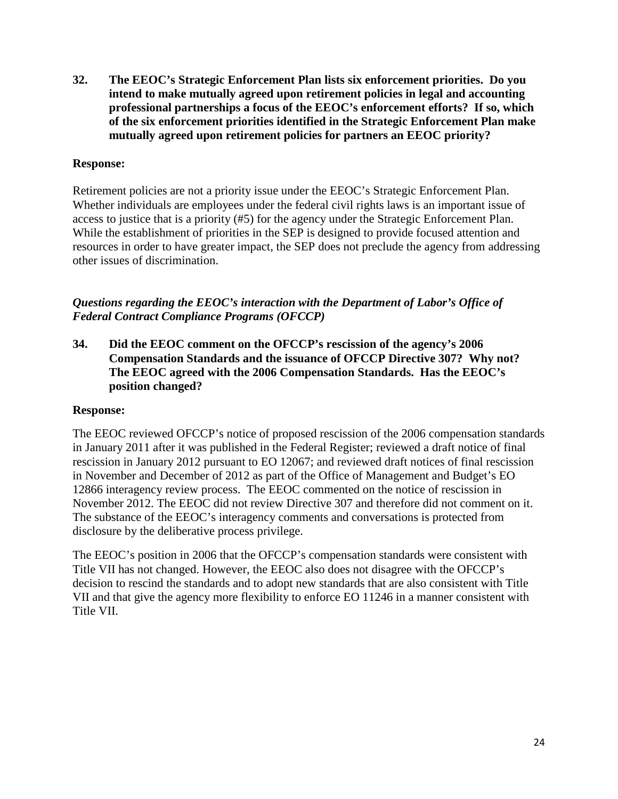**32. The EEOC's Strategic Enforcement Plan lists six enforcement priorities. Do you intend to make mutually agreed upon retirement policies in legal and accounting professional partnerships a focus of the EEOC's enforcement efforts? If so, which of the six enforcement priorities identified in the Strategic Enforcement Plan make mutually agreed upon retirement policies for partners an EEOC priority?**

## **Response:**

Retirement policies are not a priority issue under the EEOC's Strategic Enforcement Plan. Whether individuals are employees under the federal civil rights laws is an important issue of access to justice that is a priority (#5) for the agency under the Strategic Enforcement Plan. While the establishment of priorities in the SEP is designed to provide focused attention and resources in order to have greater impact, the SEP does not preclude the agency from addressing other issues of discrimination.

*Questions regarding the EEOC's interaction with the Department of Labor's Office of Federal Contract Compliance Programs (OFCCP)*

**34. Did the EEOC comment on the OFCCP's rescission of the agency's 2006 Compensation Standards and the issuance of OFCCP Directive 307? Why not? The EEOC agreed with the 2006 Compensation Standards. Has the EEOC's position changed?**

#### **Response:**

The EEOC reviewed OFCCP's notice of proposed rescission of the 2006 compensation standards in January 2011 after it was published in the Federal Register; reviewed a draft notice of final rescission in January 2012 pursuant to EO 12067; and reviewed draft notices of final rescission in November and December of 2012 as part of the Office of Management and Budget's EO 12866 interagency review process. The EEOC commented on the notice of rescission in November 2012. The EEOC did not review Directive 307 and therefore did not comment on it. The substance of the EEOC's interagency comments and conversations is protected from disclosure by the deliberative process privilege.

The EEOC's position in 2006 that the OFCCP's compensation standards were consistent with Title VII has not changed. However, the EEOC also does not disagree with the OFCCP's decision to rescind the standards and to adopt new standards that are also consistent with Title VII and that give the agency more flexibility to enforce EO 11246 in a manner consistent with Title VII.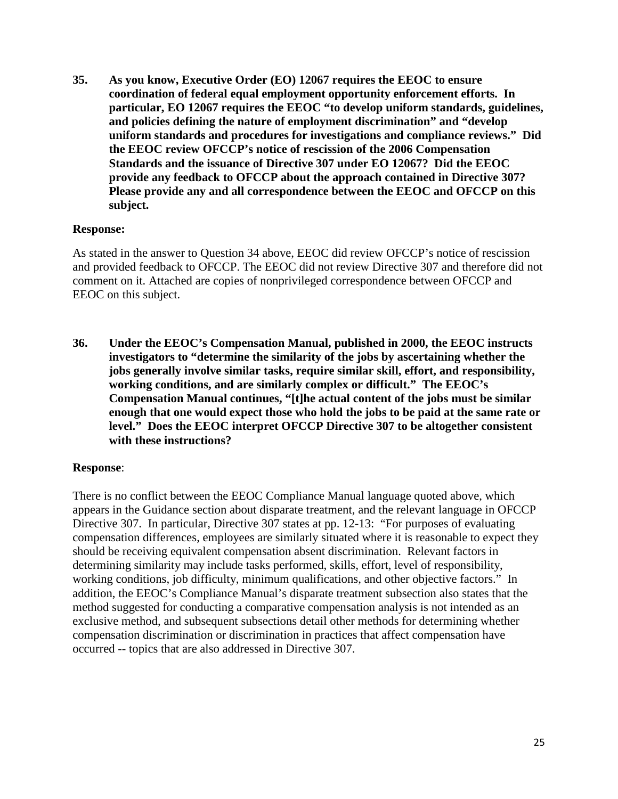**35. As you know, Executive Order (EO) 12067 requires the EEOC to ensure coordination of federal equal employment opportunity enforcement efforts. In particular, EO 12067 requires the EEOC "to develop uniform standards, guidelines, and policies defining the nature of employment discrimination" and "develop uniform standards and procedures for investigations and compliance reviews." Did the EEOC review OFCCP's notice of rescission of the 2006 Compensation Standards and the issuance of Directive 307 under EO 12067? Did the EEOC provide any feedback to OFCCP about the approach contained in Directive 307? Please provide any and all correspondence between the EEOC and OFCCP on this subject.**

#### **Response:**

As stated in the answer to Question 34 above, EEOC did review OFCCP's notice of rescission and provided feedback to OFCCP. The EEOC did not review Directive 307 and therefore did not comment on it. Attached are copies of nonprivileged correspondence between OFCCP and EEOC on this subject.

**36. Under the EEOC's Compensation Manual, published in 2000, the EEOC instructs investigators to "determine the similarity of the jobs by ascertaining whether the jobs generally involve similar tasks, require similar skill, effort, and responsibility, working conditions, and are similarly complex or difficult." The EEOC's Compensation Manual continues, "[t]he actual content of the jobs must be similar enough that one would expect those who hold the jobs to be paid at the same rate or level." Does the EEOC interpret OFCCP Directive 307 to be altogether consistent with these instructions?**

#### **Response**:

There is no conflict between the EEOC Compliance Manual language quoted above, which appears in the Guidance section about disparate treatment, and the relevant language in OFCCP Directive 307. In particular, Directive 307 states at pp. 12-13: "For purposes of evaluating compensation differences, employees are similarly situated where it is reasonable to expect they should be receiving equivalent compensation absent discrimination. Relevant factors in determining similarity may include tasks performed, skills, effort, level of responsibility, working conditions, job difficulty, minimum qualifications, and other objective factors." In addition, the EEOC's Compliance Manual's disparate treatment subsection also states that the method suggested for conducting a comparative compensation analysis is not intended as an exclusive method, and subsequent subsections detail other methods for determining whether compensation discrimination or discrimination in practices that affect compensation have occurred -- topics that are also addressed in Directive 307.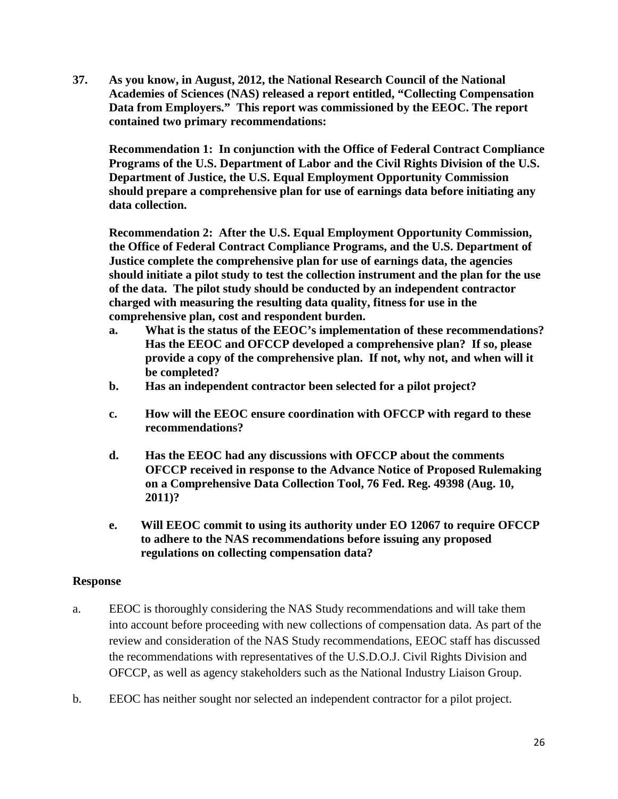**37. As you know, in August, 2012, the National Research Council of the National Academies of Sciences (NAS) released a report entitled, "Collecting Compensation Data from Employers." This report was commissioned by the EEOC. The report contained two primary recommendations:**

**Recommendation 1: In conjunction with the Office of Federal Contract Compliance Programs of the U.S. Department of Labor and the Civil Rights Division of the U.S. Department of Justice, the U.S. Equal Employment Opportunity Commission should prepare a comprehensive plan for use of earnings data before initiating any data collection.**

**Recommendation 2: After the U.S. Equal Employment Opportunity Commission, the Office of Federal Contract Compliance Programs, and the U.S. Department of Justice complete the comprehensive plan for use of earnings data, the agencies should initiate a pilot study to test the collection instrument and the plan for the use of the data. The pilot study should be conducted by an independent contractor charged with measuring the resulting data quality, fitness for use in the comprehensive plan, cost and respondent burden.**

- **a. What is the status of the EEOC's implementation of these recommendations? Has the EEOC and OFCCP developed a comprehensive plan? If so, please provide a copy of the comprehensive plan. If not, why not, and when will it be completed?**
- **b. Has an independent contractor been selected for a pilot project?**
- **c. How will the EEOC ensure coordination with OFCCP with regard to these recommendations?**
- **d. Has the EEOC had any discussions with OFCCP about the comments OFCCP received in response to the Advance Notice of Proposed Rulemaking on a Comprehensive Data Collection Tool, 76 Fed. Reg. 49398 (Aug. 10, 2011)?**
- **e. Will EEOC commit to using its authority under EO 12067 to require OFCCP to adhere to the NAS recommendations before issuing any proposed regulations on collecting compensation data?**

## **Response**

- a. EEOC is thoroughly considering the NAS Study recommendations and will take them into account before proceeding with new collections of compensation data. As part of the review and consideration of the NAS Study recommendations, EEOC staff has discussed the recommendations with representatives of the U.S.D.O.J. Civil Rights Division and OFCCP, as well as agency stakeholders such as the National Industry Liaison Group.
- b. EEOC has neither sought nor selected an independent contractor for a pilot project.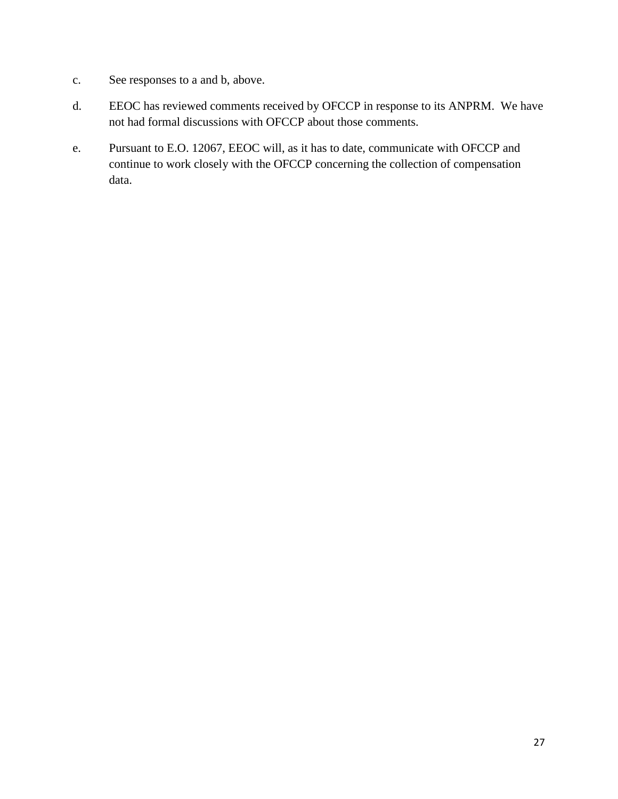- c. See responses to a and b, above.
- d. EEOC has reviewed comments received by OFCCP in response to its ANPRM. We have not had formal discussions with OFCCP about those comments.
- e. Pursuant to E.O. 12067, EEOC will, as it has to date, communicate with OFCCP and continue to work closely with the OFCCP concerning the collection of compensation data.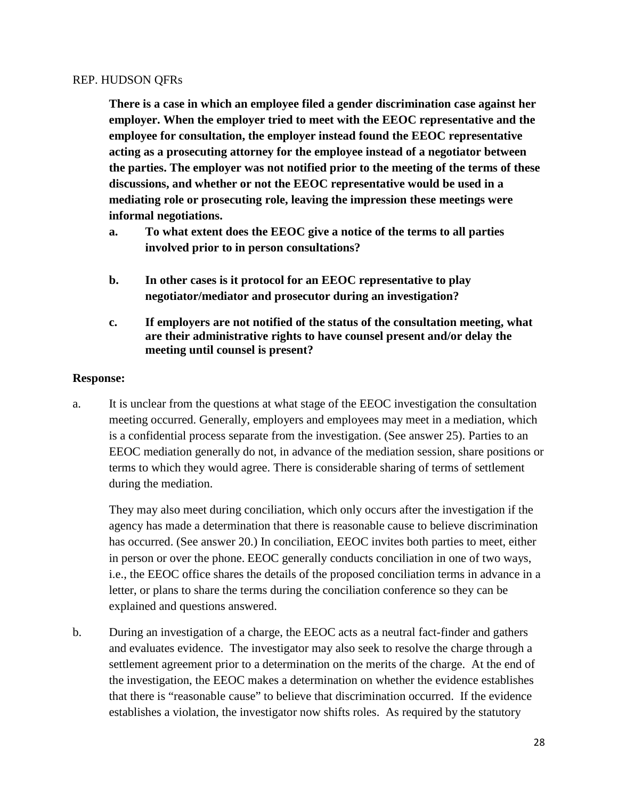#### REP. HUDSON QFRs

**There is a case in which an employee filed a gender discrimination case against her employer. When the employer tried to meet with the EEOC representative and the employee for consultation, the employer instead found the EEOC representative acting as a prosecuting attorney for the employee instead of a negotiator between the parties. The employer was not notified prior to the meeting of the terms of these discussions, and whether or not the EEOC representative would be used in a mediating role or prosecuting role, leaving the impression these meetings were informal negotiations.**

- **a. To what extent does the EEOC give a notice of the terms to all parties involved prior to in person consultations?**
- **b. In other cases is it protocol for an EEOC representative to play negotiator/mediator and prosecutor during an investigation?**
- **c. If employers are not notified of the status of the consultation meeting, what are their administrative rights to have counsel present and/or delay the meeting until counsel is present?**

#### **Response:**

a. It is unclear from the questions at what stage of the EEOC investigation the consultation meeting occurred. Generally, employers and employees may meet in a mediation, which is a confidential process separate from the investigation. (See answer 25). Parties to an EEOC mediation generally do not, in advance of the mediation session, share positions or terms to which they would agree. There is considerable sharing of terms of settlement during the mediation.

They may also meet during conciliation, which only occurs after the investigation if the agency has made a determination that there is reasonable cause to believe discrimination has occurred. (See answer 20.) In conciliation, EEOC invites both parties to meet, either in person or over the phone. EEOC generally conducts conciliation in one of two ways, i.e., the EEOC office shares the details of the proposed conciliation terms in advance in a letter, or plans to share the terms during the conciliation conference so they can be explained and questions answered.

b. During an investigation of a charge, the EEOC acts as a neutral fact-finder and gathers and evaluates evidence. The investigator may also seek to resolve the charge through a settlement agreement prior to a determination on the merits of the charge. At the end of the investigation, the EEOC makes a determination on whether the evidence establishes that there is "reasonable cause" to believe that discrimination occurred. If the evidence establishes a violation, the investigator now shifts roles. As required by the statutory